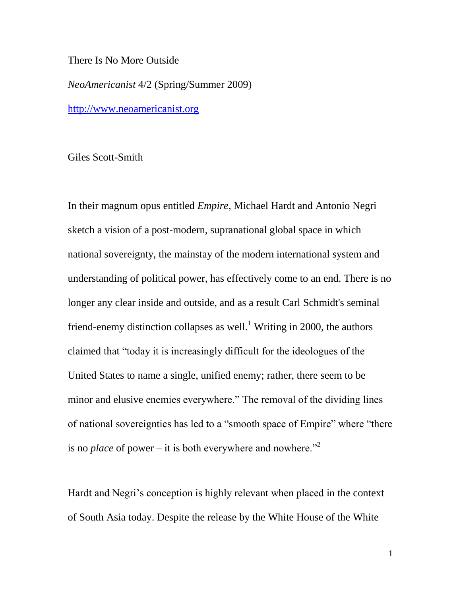## There Is No More Outside

*NeoAmericanist* 4/2 (Spring/Summer 2009)

[http://www.neoamericanist.org](http://www.neoamericanist.org/)

Giles Scott-Smith

In their magnum opus entitled *Empire*, Michael Hardt and Antonio Negri sketch a vision of a post-modern, supranational global space in which national sovereignty, the mainstay of the modern international system and understanding of political power, has effectively come to an end. There is no longer any clear inside and outside, and as a result Carl Schmidt's seminal friend-enemy distinction collapses as well.<sup>1</sup> Writing in 2000, the authors claimed that "today it is increasingly difficult for the ideologues of the United States to name a single, unified enemy; rather, there seem to be minor and elusive enemies everywhere." The removal of the dividing lines of national sovereignties has led to a "smooth space of Empire" where "there is no *place* of power – it is both everywhere and nowhere.<sup>"2</sup>

Hardt and Negri's conception is highly relevant when placed in the context of South Asia today. Despite the release by the White House of the White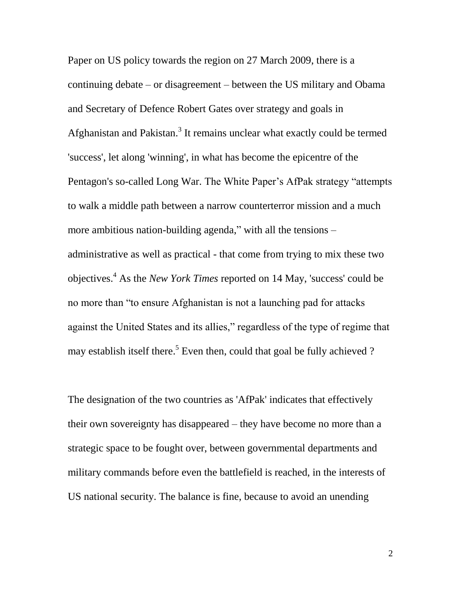Paper on US policy towards the region on 27 March 2009, there is a continuing debate – or disagreement – between the US military and Obama and Secretary of Defence Robert Gates over strategy and goals in Afghanistan and Pakistan.<sup>3</sup> It remains unclear what exactly could be termed 'success', let along 'winning', in what has become the epicentre of the Pentagon's so-called Long War. The White Paper"s AfPak strategy "attempts to walk a middle path between a narrow counterterror mission and a much more ambitious nation-building agenda," with all the tensions – administrative as well as practical - that come from trying to mix these two objectives.<sup>4</sup> As the *New York Times* reported on 14 May, 'success' could be no more than "to ensure Afghanistan is not a launching pad for attacks against the United States and its allies," regardless of the type of regime that may establish itself there.<sup>5</sup> Even then, could that goal be fully achieved ?

The designation of the two countries as 'AfPak' indicates that effectively their own sovereignty has disappeared – they have become no more than a strategic space to be fought over, between governmental departments and military commands before even the battlefield is reached, in the interests of US national security. The balance is fine, because to avoid an unending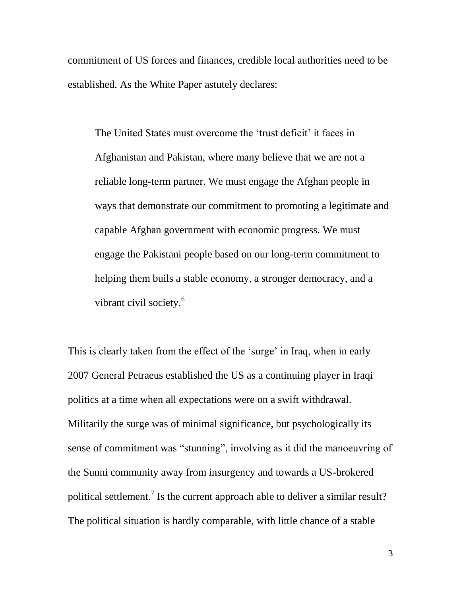commitment of US forces and finances, credible local authorities need to be established. As the White Paper astutely declares:

The United States must overcome the 'trust deficit' it faces in Afghanistan and Pakistan, where many believe that we are not a reliable long-term partner. We must engage the Afghan people in ways that demonstrate our commitment to promoting a legitimate and capable Afghan government with economic progress. We must engage the Pakistani people based on our long-term commitment to helping them buils a stable economy, a stronger democracy, and a vibrant civil society.<sup>6</sup>

This is clearly taken from the effect of the 'surge' in Iraq, when in early 2007 General Petraeus established the US as a continuing player in Iraqi politics at a time when all expectations were on a swift withdrawal. Militarily the surge was of minimal significance, but psychologically its sense of commitment was "stunning", involving as it did the manoeuvring of the Sunni community away from insurgency and towards a US-brokered political settlement.<sup>7</sup> Is the current approach able to deliver a similar result? The political situation is hardly comparable, with little chance of a stable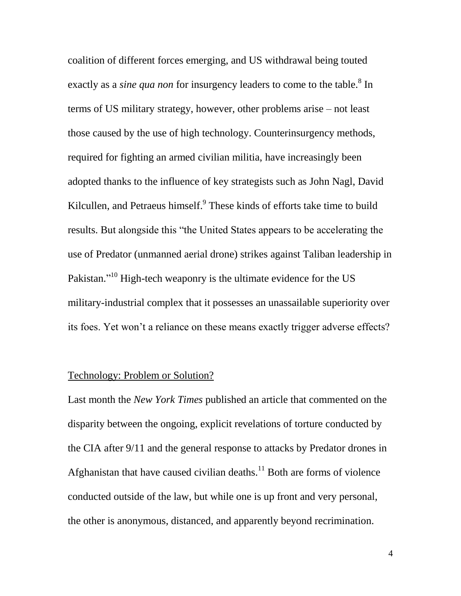coalition of different forces emerging, and US withdrawal being touted exactly as a *sine qua non* for insurgency leaders to come to the table.<sup>8</sup> In terms of US military strategy, however, other problems arise – not least those caused by the use of high technology. Counterinsurgency methods, required for fighting an armed civilian militia, have increasingly been adopted thanks to the influence of key strategists such as John Nagl, David Kilcullen, and Petraeus himself.<sup>9</sup> These kinds of efforts take time to build results. But alongside this "the United States appears to be accelerating the use of Predator (unmanned aerial drone) strikes against Taliban leadership in Pakistan."<sup>10</sup> High-tech weaponry is the ultimate evidence for the US military-industrial complex that it possesses an unassailable superiority over its foes. Yet won"t a reliance on these means exactly trigger adverse effects?

## Technology: Problem or Solution?

Last month the *New York Times* published an article that commented on the disparity between the ongoing, explicit revelations of torture conducted by the CIA after 9/11 and the general response to attacks by Predator drones in Afghanistan that have caused civilian deaths.<sup>11</sup> Both are forms of violence conducted outside of the law, but while one is up front and very personal, the other is anonymous, distanced, and apparently beyond recrimination.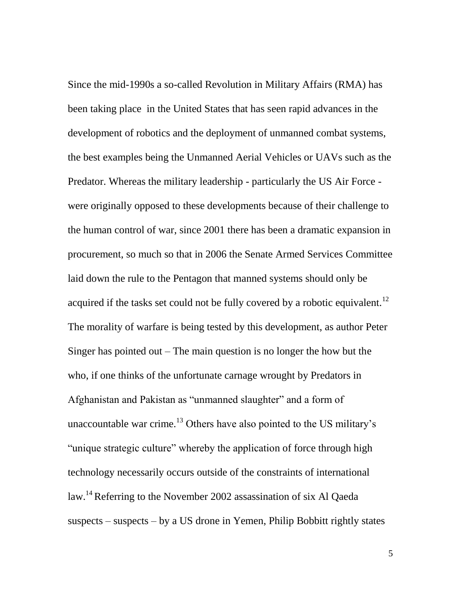Since the mid-1990s a so-called Revolution in Military Affairs (RMA) has been taking place in the United States that has seen rapid advances in the development of robotics and the deployment of unmanned combat systems, the best examples being the Unmanned Aerial Vehicles or UAVs such as the Predator. Whereas the military leadership - particularly the US Air Force were originally opposed to these developments because of their challenge to the human control of war, since 2001 there has been a dramatic expansion in procurement, so much so that in 2006 the Senate Armed Services Committee laid down the rule to the Pentagon that manned systems should only be acquired if the tasks set could not be fully covered by a robotic equivalent.<sup>12</sup> The morality of warfare is being tested by this development, as author Peter Singer has pointed out  $-$  The main question is no longer the how but the who, if one thinks of the unfortunate carnage wrought by Predators in Afghanistan and Pakistan as "unmanned slaughter" and a form of unaccountable war crime.<sup>13</sup> Others have also pointed to the US military's "unique strategic culture" whereby the application of force through high technology necessarily occurs outside of the constraints of international law.<sup>14</sup> Referring to the November 2002 assassination of six Al Qaeda suspects – suspects – by a US drone in Yemen, Philip Bobbitt rightly states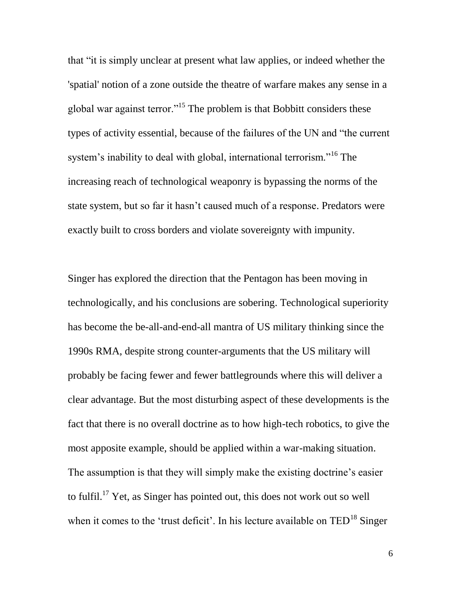that "it is simply unclear at present what law applies, or indeed whether the 'spatial' notion of a zone outside the theatre of warfare makes any sense in a global war against terror."<sup>15</sup> The problem is that Bobbitt considers these types of activity essential, because of the failures of the UN and "the current system's inability to deal with global, international terrorism."<sup>16</sup> The increasing reach of technological weaponry is bypassing the norms of the state system, but so far it hasn"t caused much of a response. Predators were exactly built to cross borders and violate sovereignty with impunity.

Singer has explored the direction that the Pentagon has been moving in technologically, and his conclusions are sobering. Technological superiority has become the be-all-and-end-all mantra of US military thinking since the 1990s RMA, despite strong counter-arguments that the US military will probably be facing fewer and fewer battlegrounds where this will deliver a clear advantage. But the most disturbing aspect of these developments is the fact that there is no overall doctrine as to how high-tech robotics, to give the most apposite example, should be applied within a war-making situation. The assumption is that they will simply make the existing doctrine's easier to fulfil.<sup>17</sup> Yet, as Singer has pointed out, this does not work out so well when it comes to the 'trust deficit'. In his lecture available on  $TED^{18}$  Singer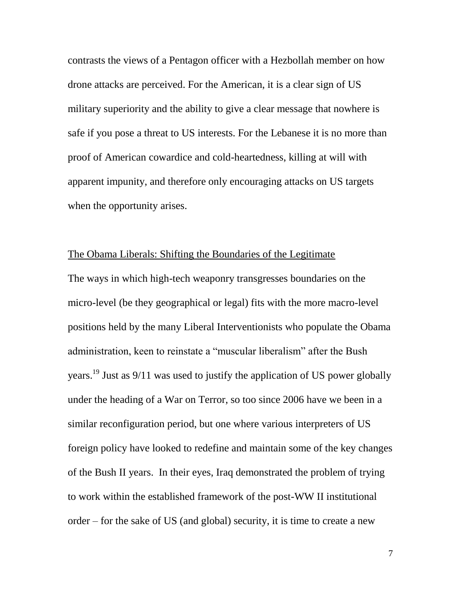contrasts the views of a Pentagon officer with a Hezbollah member on how drone attacks are perceived. For the American, it is a clear sign of US military superiority and the ability to give a clear message that nowhere is safe if you pose a threat to US interests. For the Lebanese it is no more than proof of American cowardice and cold-heartedness, killing at will with apparent impunity, and therefore only encouraging attacks on US targets when the opportunity arises.

## The Obama Liberals: Shifting the Boundaries of the Legitimate

The ways in which high-tech weaponry transgresses boundaries on the micro-level (be they geographical or legal) fits with the more macro-level positions held by the many Liberal Interventionists who populate the Obama administration, keen to reinstate a "muscular liberalism" after the Bush years.<sup>19</sup> Just as 9/11 was used to justify the application of US power globally under the heading of a War on Terror, so too since 2006 have we been in a similar reconfiguration period, but one where various interpreters of US foreign policy have looked to redefine and maintain some of the key changes of the Bush II years. In their eyes, Iraq demonstrated the problem of trying to work within the established framework of the post-WW II institutional order – for the sake of US (and global) security, it is time to create a new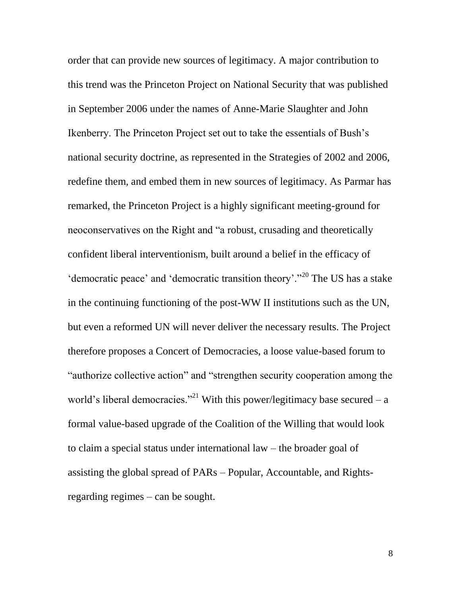order that can provide new sources of legitimacy. A major contribution to this trend was the Princeton Project on National Security that was published in September 2006 under the names of Anne-Marie Slaughter and John Ikenberry. The Princeton Project set out to take the essentials of Bush"s national security doctrine, as represented in the Strategies of 2002 and 2006, redefine them, and embed them in new sources of legitimacy. As Parmar has remarked, the Princeton Project is a highly significant meeting-ground for neoconservatives on the Right and "a robust, crusading and theoretically confident liberal interventionism, built around a belief in the efficacy of 'democratic peace' and 'democratic transition theory'."<sup>20</sup> The US has a stake in the continuing functioning of the post-WW II institutions such as the UN, but even a reformed UN will never deliver the necessary results. The Project therefore proposes a Concert of Democracies, a loose value-based forum to "authorize collective action" and "strengthen security cooperation among the world's liberal democracies."<sup>21</sup> With this power/legitimacy base secured – a formal value-based upgrade of the Coalition of the Willing that would look to claim a special status under international law – the broader goal of assisting the global spread of PARs – Popular, Accountable, and Rightsregarding regimes – can be sought.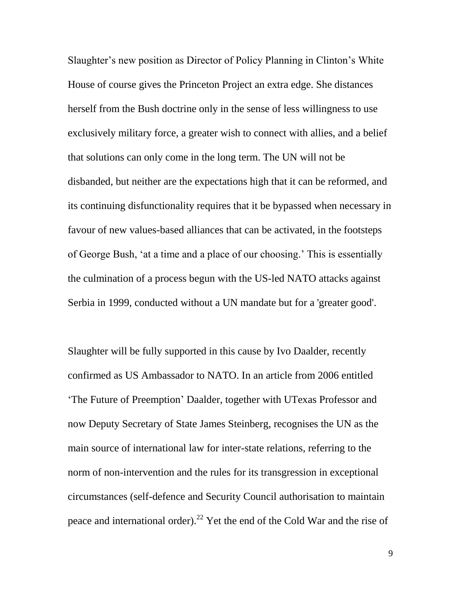Slaughter's new position as Director of Policy Planning in Clinton's White House of course gives the Princeton Project an extra edge. She distances herself from the Bush doctrine only in the sense of less willingness to use exclusively military force, a greater wish to connect with allies, and a belief that solutions can only come in the long term. The UN will not be disbanded, but neither are the expectations high that it can be reformed, and its continuing disfunctionality requires that it be bypassed when necessary in favour of new values-based alliances that can be activated, in the footsteps of George Bush, "at a time and a place of our choosing." This is essentially the culmination of a process begun with the US-led NATO attacks against Serbia in 1999, conducted without a UN mandate but for a 'greater good'.

Slaughter will be fully supported in this cause by Ivo Daalder, recently confirmed as US Ambassador to NATO. In an article from 2006 entitled "The Future of Preemption" Daalder, together with UTexas Professor and now Deputy Secretary of State James Steinberg, recognises the UN as the main source of international law for inter-state relations, referring to the norm of non-intervention and the rules for its transgression in exceptional circumstances (self-defence and Security Council authorisation to maintain peace and international order).<sup>22</sup> Yet the end of the Cold War and the rise of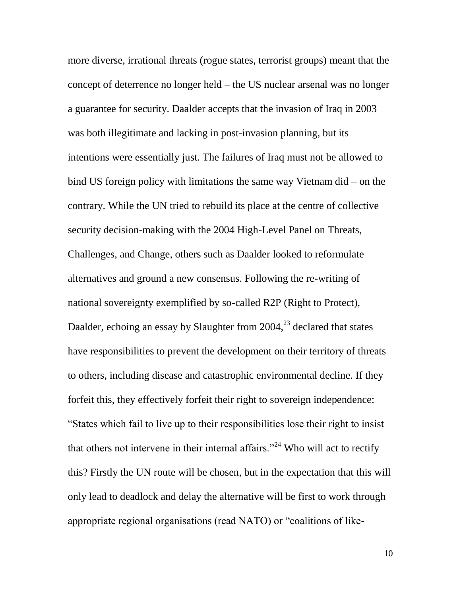more diverse, irrational threats (rogue states, terrorist groups) meant that the concept of deterrence no longer held – the US nuclear arsenal was no longer a guarantee for security. Daalder accepts that the invasion of Iraq in 2003 was both illegitimate and lacking in post-invasion planning, but its intentions were essentially just. The failures of Iraq must not be allowed to bind US foreign policy with limitations the same way Vietnam did – on the contrary. While the UN tried to rebuild its place at the centre of collective security decision-making with the 2004 High-Level Panel on Threats, Challenges, and Change, others such as Daalder looked to reformulate alternatives and ground a new consensus. Following the re-writing of national sovereignty exemplified by so-called R2P (Right to Protect), Daalder, echoing an essay by Slaughter from  $2004<sup>23</sup>$  declared that states have responsibilities to prevent the development on their territory of threats to others, including disease and catastrophic environmental decline. If they forfeit this, they effectively forfeit their right to sovereign independence: "States which fail to live up to their responsibilities lose their right to insist that others not intervene in their internal affairs."<sup>24</sup> Who will act to rectify this? Firstly the UN route will be chosen, but in the expectation that this will only lead to deadlock and delay the alternative will be first to work through appropriate regional organisations (read NATO) or "coalitions of like-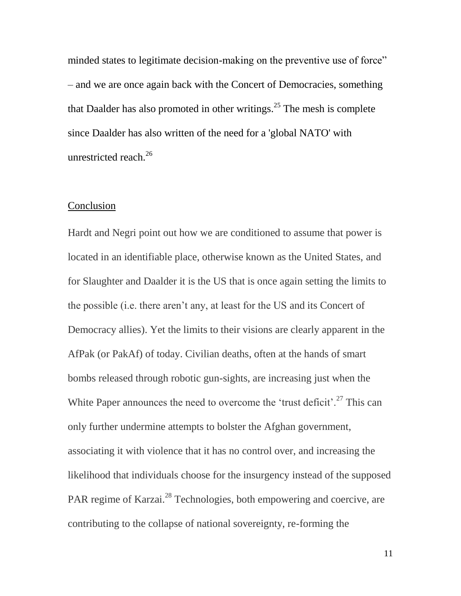minded states to legitimate decision-making on the preventive use of force" – and we are once again back with the Concert of Democracies, something that Daalder has also promoted in other writings.<sup>25</sup> The mesh is complete since Daalder has also written of the need for a 'global NATO' with unrestricted reach.<sup>26</sup>

## **Conclusion**

Hardt and Negri point out how we are conditioned to assume that power is located in an identifiable place, otherwise known as the United States, and for Slaughter and Daalder it is the US that is once again setting the limits to the possible (i.e. there aren"t any, at least for the US and its Concert of Democracy allies). Yet the limits to their visions are clearly apparent in the AfPak (or PakAf) of today. Civilian deaths, often at the hands of smart bombs released through robotic gun-sights, are increasing just when the White Paper announces the need to overcome the 'trust deficit'.<sup>27</sup> This can only further undermine attempts to bolster the Afghan government, associating it with violence that it has no control over, and increasing the likelihood that individuals choose for the insurgency instead of the supposed PAR regime of Karzai.<sup>28</sup> Technologies, both empowering and coercive, are contributing to the collapse of national sovereignty, re-forming the